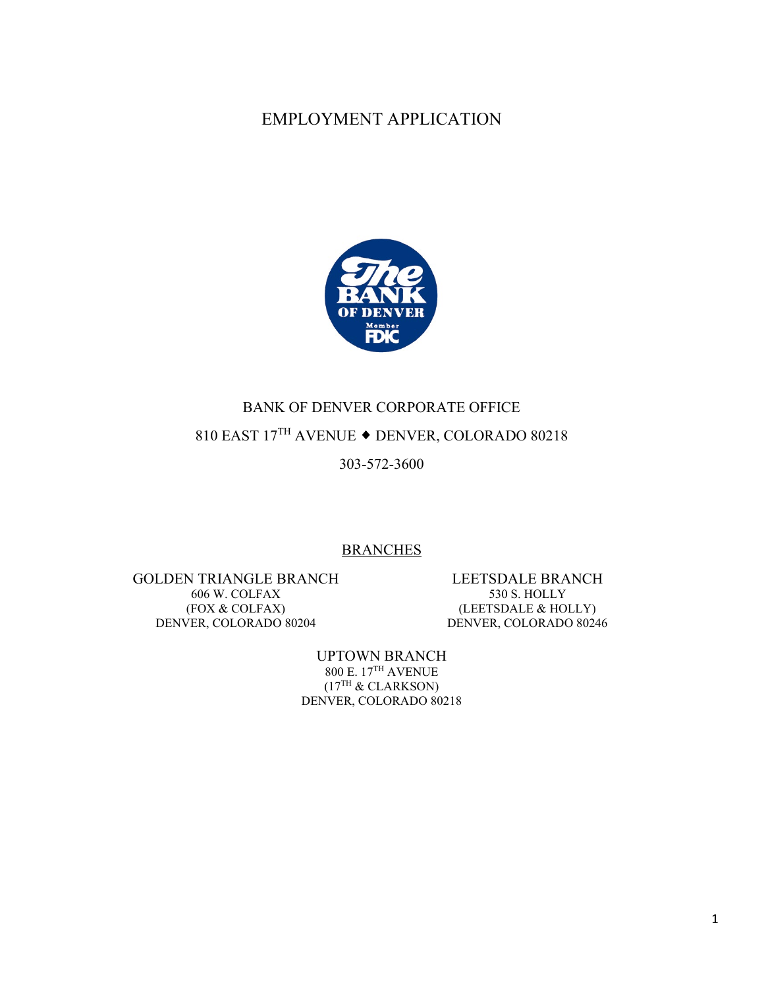## EMPLOYMENT APPLICATION



## BANK OF DENVER CORPORATE OFFICE 810 EAST  $17^{\text{TH}}$  AVENUE  $\blacklozenge$  DENVER, COLORADO 80218

303-572-3600

#### **BRANCHES**

GOLDEN TRIANGLE BRANCH 606 W. COLFAX (FOX & COLFAX) DENVER, COLORADO 80204

LEETSDALE BRANCH 530 S. HOLLY (LEETSDALE & HOLLY) DENVER, COLORADO 80246

UPTOWN BRANCH 800 E. 17TH AVENUE  $(17^{TH}$  & CLARKSON) DENVER, COLORADO 80218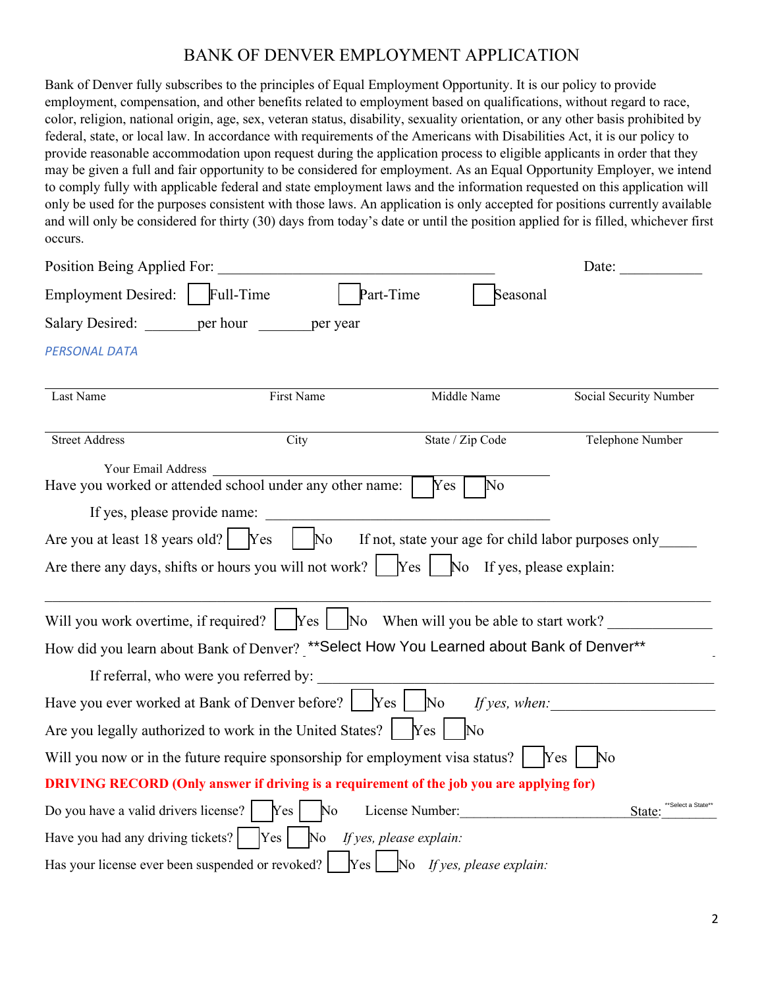### BANK OF DENVER EMPLOYMENT APPLICATION

Bank of Denver fully subscribes to the principles of Equal Employment Opportunity. It is our policy to provide employment, compensation, and other benefits related to employment based on qualifications, without regard to race, color, religion, national origin, age, sex, veteran status, disability, sexuality orientation, or any other basis prohibited by federal, state, or local law. In accordance with requirements of the Americans with Disabilities Act, it is our policy to provide reasonable accommodation upon request during the application process to eligible applicants in order that they may be given a full and fair opportunity to be considered for employment. As an Equal Opportunity Employer, we intend to comply fully with applicable federal and state employment laws and the information requested on this application will only be used for the purposes consistent with those laws. An application is only accepted for positions currently available and will only be considered for thirty (30) days from today's date or until the position applied for is filled, whichever first occurs.

| Position Being Applied For:                      |                                                                                                                     |                                                                                                                       | Date:                                 |
|--------------------------------------------------|---------------------------------------------------------------------------------------------------------------------|-----------------------------------------------------------------------------------------------------------------------|---------------------------------------|
| <b>Employment Desired:</b>                       | Full-Time                                                                                                           | Part-Time<br>Seasonal                                                                                                 |                                       |
| Salary Desired: per hour                         | per year                                                                                                            |                                                                                                                       |                                       |
| PERSONAL DATA                                    |                                                                                                                     |                                                                                                                       |                                       |
| Last Name                                        | First Name                                                                                                          | Middle Name                                                                                                           | Social Security Number                |
| <b>Street Address</b>                            | City                                                                                                                | State / Zip Code                                                                                                      | Telephone Number                      |
| Your Email Address                               | Have you worked or attended school under any other name:                                                            | No<br>Yes                                                                                                             |                                       |
| If yes, please provide name:                     |                                                                                                                     |                                                                                                                       |                                       |
| Are you at least 18 years old?   Yes             | $\mathbb{N}^{\text{o}}$                                                                                             | If not, state your age for child labor purposes only                                                                  |                                       |
|                                                  | Are there any days, shifts or hours you will not work? $\begin{bmatrix} \n\end{bmatrix}$ No If yes, please explain: |                                                                                                                       |                                       |
| Will you work overtime, if required?             |                                                                                                                     | $\begin{bmatrix} \n\text{Yes} \mid \quad \text{No} \quad \text{When will you be able to start work?} \n\end{bmatrix}$ |                                       |
|                                                  | How did you learn about Bank of Denver? ** Select How You Learned about Bank of Denver**                            |                                                                                                                       |                                       |
|                                                  | If referral, who were you referred by:                                                                              |                                                                                                                       |                                       |
|                                                  | Have you ever worked at Bank of Denver before?   Yes                                                                | $\overline{\text{No}}$<br>If yes, when:                                                                               |                                       |
|                                                  | Are you legally authorized to work in the United States?   Yes                                                      | $\overline{\rm No}$                                                                                                   |                                       |
|                                                  | Will you now or in the future require sponsorship for employment visa status?                                       |                                                                                                                       | <b>Yes</b><br>$\mathbb{N}^{\text{o}}$ |
|                                                  | <b>DRIVING RECORD (Only answer if driving is a requirement of the job you are applying for)</b>                     |                                                                                                                       |                                       |
| Do you have a valid drivers license?             | Yes<br>No                                                                                                           | License Number:                                                                                                       | **Select a State*<br>State:           |
| Have you had any driving tickets?                | Yes                                                                                                                 | No If yes, please explain:                                                                                            |                                       |
| Has your license ever been suspended or revoked? | Yes                                                                                                                 | $\Box$ No If yes, please explain:                                                                                     |                                       |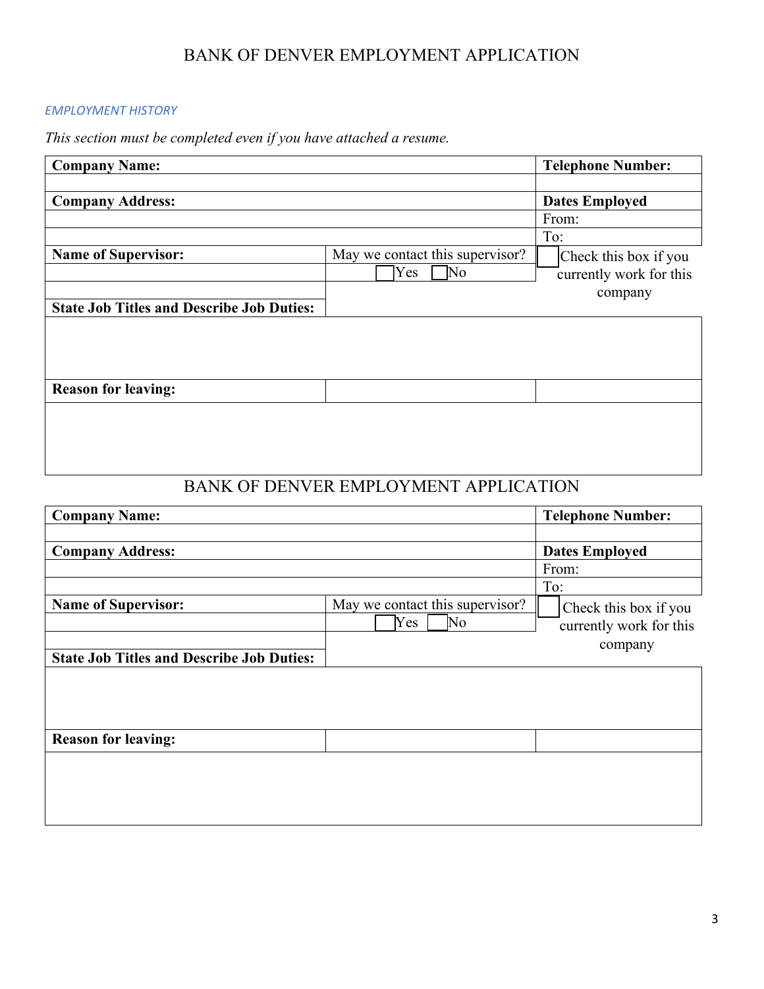### BANK OF DENVER EMPLOYMENT APPLICATION

#### *EMPLOYMENT HISTORY*

*This section must be completed even if you have attached a resume.* 

| <b>Company Name:</b>                             |                                 |     | <b>Telephone Number:</b> |
|--------------------------------------------------|---------------------------------|-----|--------------------------|
|                                                  |                                 |     |                          |
| <b>Company Address:</b>                          |                                 |     | <b>Dates Employed</b>    |
|                                                  |                                 |     | From:                    |
|                                                  |                                 | To: |                          |
| <b>Name of Supervisor:</b>                       | May we contact this supervisor? |     | Check this box if you    |
|                                                  | No<br>Yes                       |     | currently work for this  |
|                                                  |                                 |     | company                  |
| <b>State Job Titles and Describe Job Duties:</b> |                                 |     |                          |
|                                                  |                                 |     |                          |
|                                                  |                                 |     |                          |
|                                                  |                                 |     |                          |
| <b>Reason for leaving:</b>                       |                                 |     |                          |
|                                                  |                                 |     |                          |
|                                                  |                                 |     |                          |
|                                                  |                                 |     |                          |
|                                                  |                                 |     |                          |

## BANK OF DENVER EMPLOYMENT APPLICATION

| <b>Company Name:</b>                             |                                 | <b>Telephone Number:</b> |
|--------------------------------------------------|---------------------------------|--------------------------|
|                                                  |                                 |                          |
| <b>Company Address:</b>                          |                                 | <b>Dates Employed</b>    |
|                                                  |                                 | From:                    |
|                                                  |                                 | To:                      |
| <b>Name of Supervisor:</b>                       | May we contact this supervisor? | Check this box if you    |
|                                                  | $\overline{\text{No}}$<br>Yes   | currently work for this  |
|                                                  |                                 | company                  |
| <b>State Job Titles and Describe Job Duties:</b> |                                 |                          |
|                                                  |                                 |                          |
|                                                  |                                 |                          |
|                                                  |                                 |                          |
| <b>Reason for leaving:</b>                       |                                 |                          |
|                                                  |                                 |                          |
|                                                  |                                 |                          |
|                                                  |                                 |                          |
|                                                  |                                 |                          |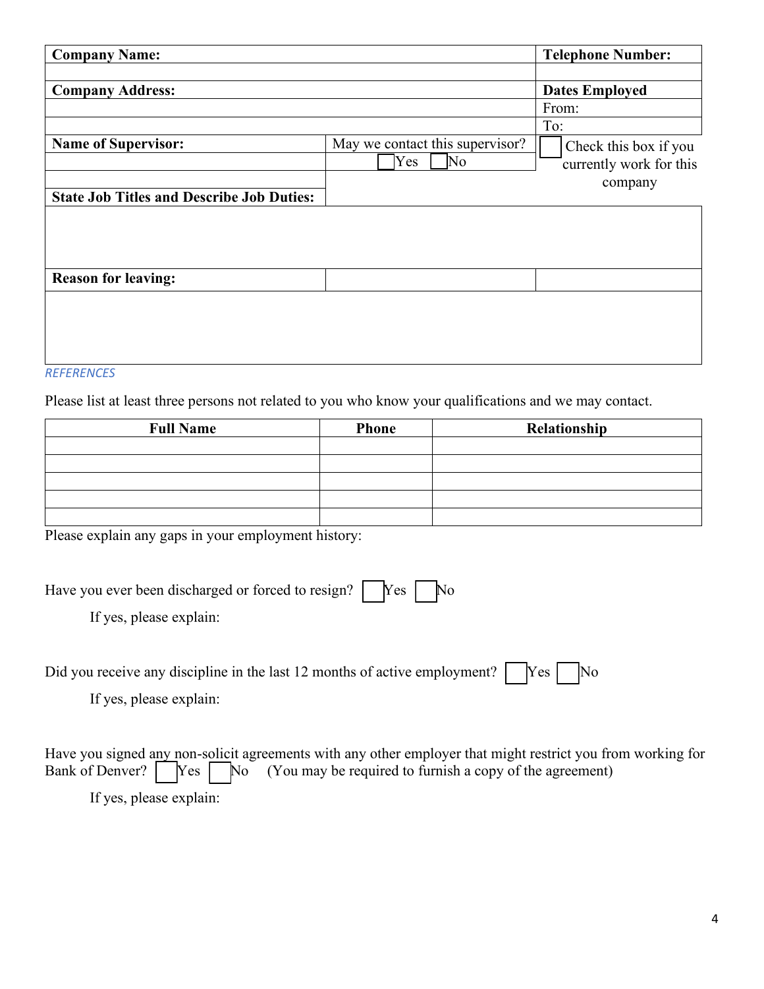| <b>Company Name:</b>                                                           |                                                                  | <b>Telephone Number:</b>                                    |
|--------------------------------------------------------------------------------|------------------------------------------------------------------|-------------------------------------------------------------|
|                                                                                |                                                                  |                                                             |
| <b>Company Address:</b>                                                        |                                                                  | <b>Dates Employed</b>                                       |
|                                                                                |                                                                  | From:                                                       |
|                                                                                |                                                                  | To:                                                         |
| <b>Name of Supervisor:</b><br><b>State Job Titles and Describe Job Duties:</b> | May we contact this supervisor?<br>Yes<br>$\overline{\text{No}}$ | Check this box if you<br>currently work for this<br>company |
| <b>Reason for leaving:</b>                                                     |                                                                  |                                                             |
|                                                                                |                                                                  |                                                             |

### *REFERENCES*

Please list at least three persons not related to you who know your qualifications and we may contact.

| <b>Full Name</b> | <b>Phone</b> | Relationship |
|------------------|--------------|--------------|
|                  |              |              |
|                  |              |              |
|                  |              |              |
|                  |              |              |
|                  |              |              |

Please explain any gaps in your employment history:

| Have you ever been discharged or forced to resign?   Yes   No<br>If yes, please explain:                           |
|--------------------------------------------------------------------------------------------------------------------|
| Did you receive any discipline in the last 12 months of active employment?   [Yes   [No<br>If yes, please explain: |

Have you signed any non-solicit agreements with any other employer that might restrict you from working for Bank of Denver?  $\bigcap$  Yes  $\bigcap$  No (You may be required to furnish a copy of the agreement)  $\gamma$ es  $\sqrt{\phantom{a}}$  No (You may be required to furnish a copy of the agreement) If yes, please explain: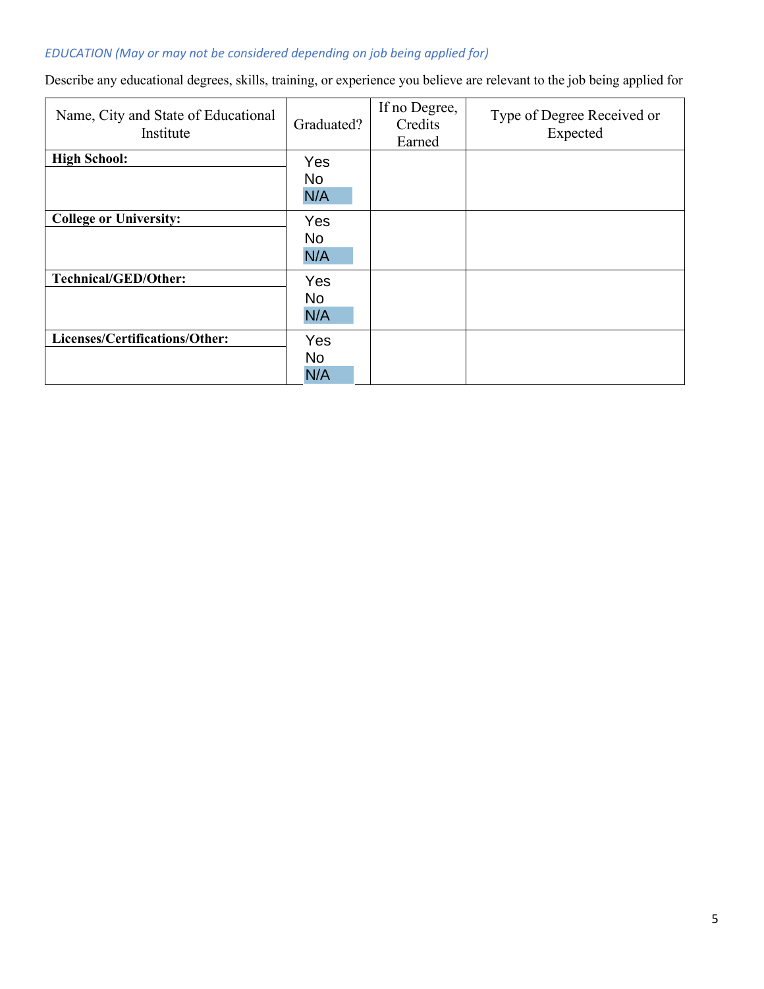## *EDUCATION (May or may not be considered depending on job being applied for)*

Describe any educational degrees, skills, training, or experience you believe are relevant to the job being applied for

| Name, City and State of Educational<br>Institute | Graduated?              | If no Degree,<br>Credits<br>Earned | Type of Degree Received or<br>Expected |
|--------------------------------------------------|-------------------------|------------------------------------|----------------------------------------|
| <b>High School:</b>                              | Yes                     |                                    |                                        |
|                                                  | <b>No</b><br>N/A        |                                    |                                        |
| <b>College or University:</b>                    | Yes<br><b>No</b><br>N/A |                                    |                                        |
| <b>Technical/GED/Other:</b>                      | Yes<br><b>No</b><br>N/A |                                    |                                        |
| Licenses/Certifications/Other:                   | Yes<br>No<br>N/A        |                                    |                                        |